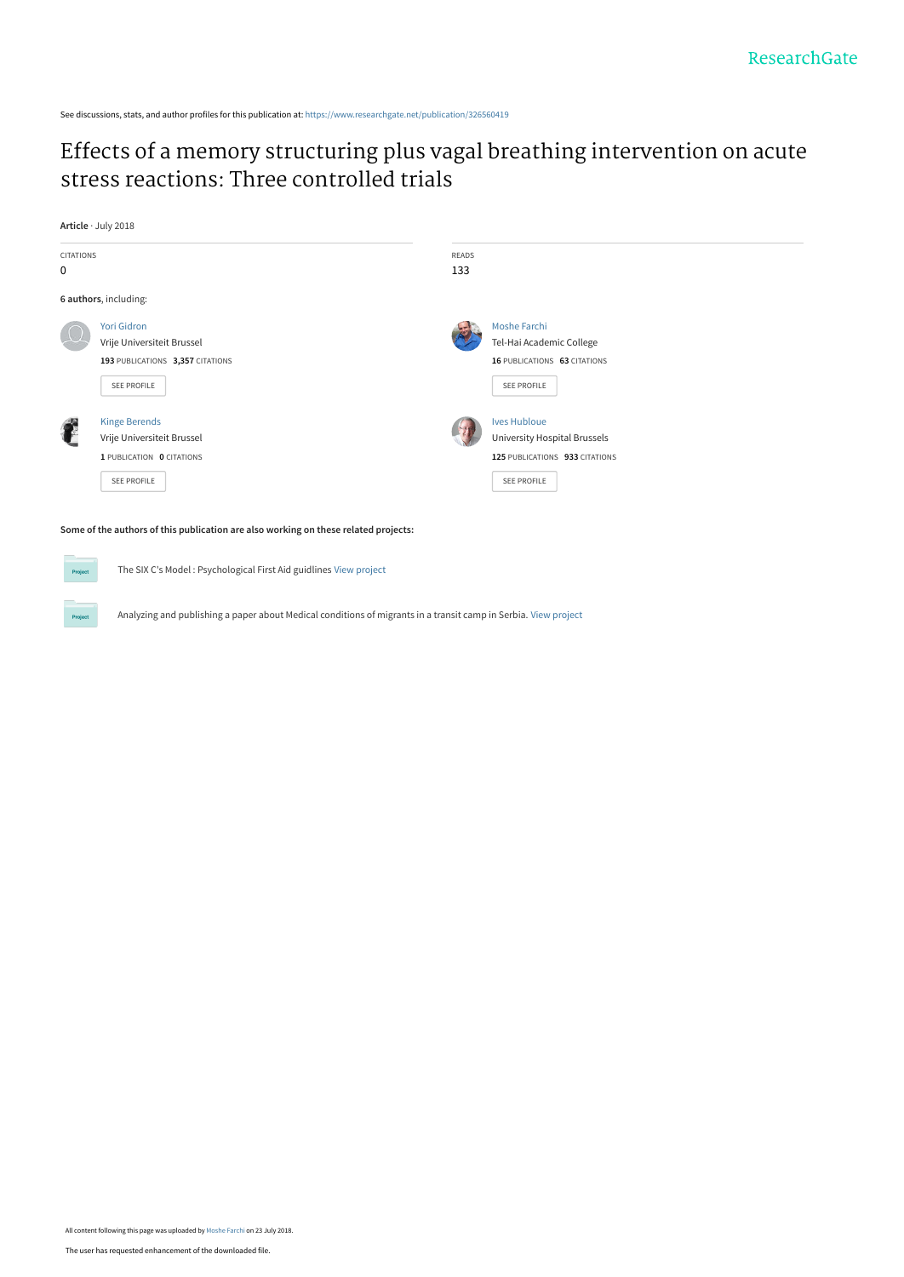See discussions, stats, and author profiles for this publication at: [https://www.researchgate.net/publication/326560419](https://www.researchgate.net/publication/326560419_Effects_of_a_memory_structuring_plus_vagal_breathing_intervention_on_acute_stress_reactions_Three_controlled_trials?enrichId=rgreq-705e11bf0dd2dd555289a1adcaa2e898-XXX&enrichSource=Y292ZXJQYWdlOzMyNjU2MDQxOTtBUzo2NTE2MTkyNjM4Njg5MjlAMTUzMjM2OTU0NzAyNA%3D%3D&el=1_x_2&_esc=publicationCoverPdf)

# [Effects of a memory structuring plus vagal breathing intervention on acute](https://www.researchgate.net/publication/326560419_Effects_of_a_memory_structuring_plus_vagal_breathing_intervention_on_acute_stress_reactions_Three_controlled_trials?enrichId=rgreq-705e11bf0dd2dd555289a1adcaa2e898-XXX&enrichSource=Y292ZXJQYWdlOzMyNjU2MDQxOTtBUzo2NTE2MTkyNjM4Njg5MjlAMTUzMjM2OTU0NzAyNA%3D%3D&el=1_x_3&_esc=publicationCoverPdf) stress reactions: Three controlled trials

**Article** · July 2018



The SIX C's Model : Psychological First Aid guidlines [View project](https://www.researchgate.net/project/The-SIX-Cs-Model-Psychological-First-Aid-guidlines?enrichId=rgreq-705e11bf0dd2dd555289a1adcaa2e898-XXX&enrichSource=Y292ZXJQYWdlOzMyNjU2MDQxOTtBUzo2NTE2MTkyNjM4Njg5MjlAMTUzMjM2OTU0NzAyNA%3D%3D&el=1_x_9&_esc=publicationCoverPdf)

Analyzing and publishing a paper about Medical conditions of migrants in a transit camp in Serbia. [View project](https://www.researchgate.net/project/Analyzing-and-publishing-a-paper-about-Medical-conditions-of-migrants-in-a-transit-camp-in-Serbia?enrichId=rgreq-705e11bf0dd2dd555289a1adcaa2e898-XXX&enrichSource=Y292ZXJQYWdlOzMyNjU2MDQxOTtBUzo2NTE2MTkyNjM4Njg5MjlAMTUzMjM2OTU0NzAyNA%3D%3D&el=1_x_9&_esc=publicationCoverPdf)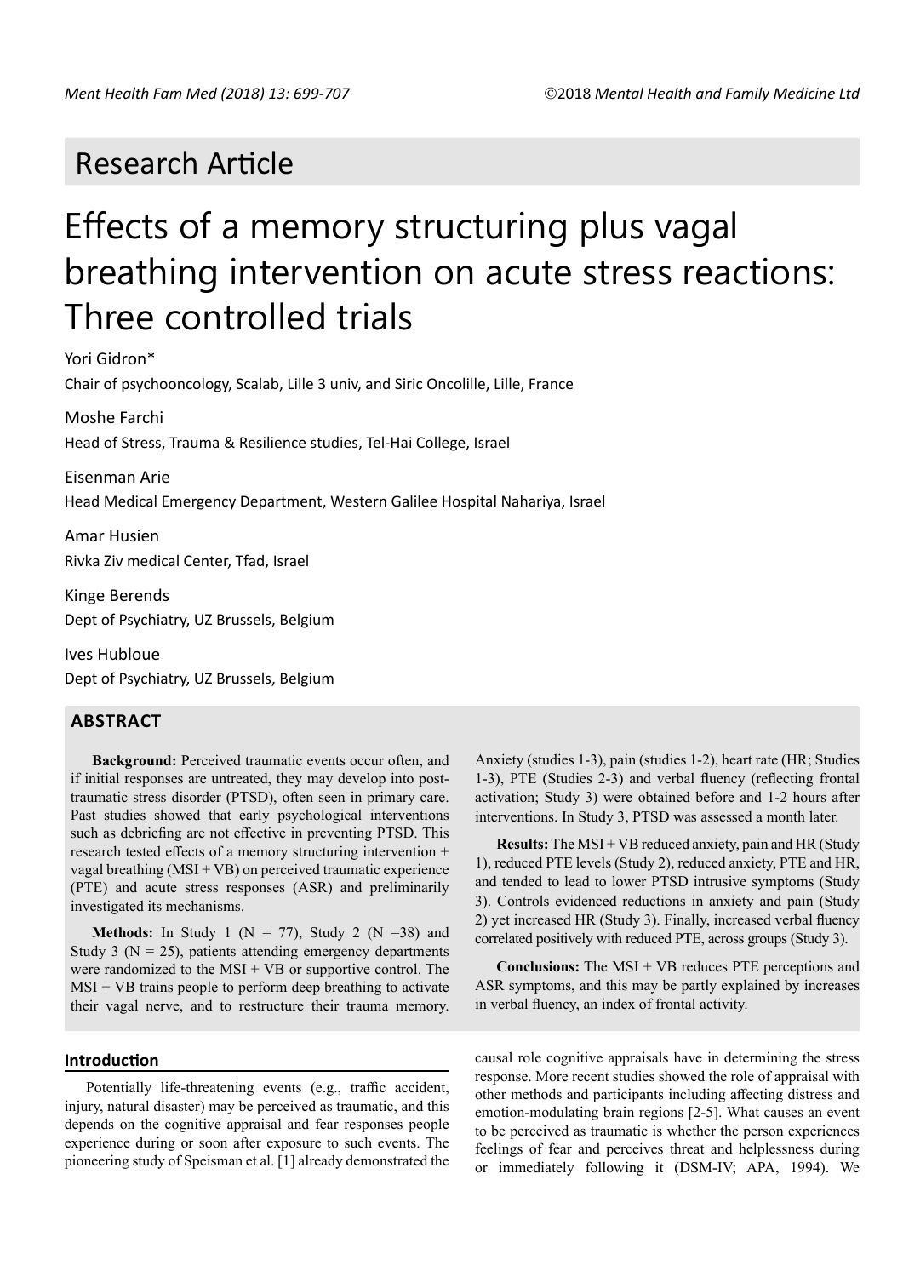# Research Article

# Effects of a memory structuring plus vagal breathing intervention on acute stress reactions: Three controlled trials

Yori Gidron\*

Chair of psychooncology, Scalab, Lille 3 univ, and Siric Oncolille, Lille, France

Moshe Farchi Head of Stress, Trauma & Resilience studies, Tel-Hai College, Israel

Eisenman Arie Head Medical Emergency Department, Western Galilee Hospital Nahariya, Israel

Amar Husien Rivka Ziv medical Center, Tfad, Israel

Kinge Berends Dept of Psychiatry, UZ Brussels, Belgium

Ives Hubloue Dept of Psychiatry, UZ Brussels, Belgium

# **ABSTRACT**

**Background:** Perceived traumatic events occur often, and if initial responses are untreated, they may develop into posttraumatic stress disorder (PTSD), often seen in primary care. Past studies showed that early psychological interventions such as debriefing are not effective in preventing PTSD. This research tested effects of a memory structuring intervention + vagal breathing (MSI + VB) on perceived traumatic experience (PTE) and acute stress responses (ASR) and preliminarily investigated its mechanisms.

**Methods:** In Study 1 ( $N = 77$ ), Study 2 ( $N = 38$ ) and Study 3 ( $N = 25$ ), patients attending emergency departments were randomized to the MSI + VB or supportive control. The  $MSI + VB$  trains people to perform deep breathing to activate their vagal nerve, and to restructure their trauma memory.

# **Introduction**

Potentially life-threatening events (e.g., traffic accident, injury, natural disaster) may be perceived as traumatic, and this depends on the cognitive appraisal and fear responses people experience during or soon after exposure to such events. The pioneering study of Speisman et al. [1] already demonstrated the Anxiety (studies 1-3), pain (studies 1-2), heart rate (HR; Studies 1-3), PTE (Studies 2-3) and verbal fluency (reflecting frontal activation; Study 3) were obtained before and 1-2 hours after interventions. In Study 3, PTSD was assessed a month later.

**Results:** The MSI + VB reduced anxiety, pain and HR (Study 1), reduced PTE levels (Study 2), reduced anxiety, PTE and HR, and tended to lead to lower PTSD intrusive symptoms (Study 3). Controls evidenced reductions in anxiety and pain (Study 2) yet increased HR (Study 3). Finally, increased verbal fluency correlated positively with reduced PTE, across groups (Study 3).

**Conclusions:** The MSI + VB reduces PTE perceptions and ASR symptoms, and this may be partly explained by increases in verbal fluency, an index of frontal activity.

causal role cognitive appraisals have in determining the stress response. More recent studies showed the role of appraisal with other methods and participants including affecting distress and emotion-modulating brain regions [2-5]. What causes an event to be perceived as traumatic is whether the person experiences feelings of fear and perceives threat and helplessness during or immediately following it (DSM-IV; APA, 1994). We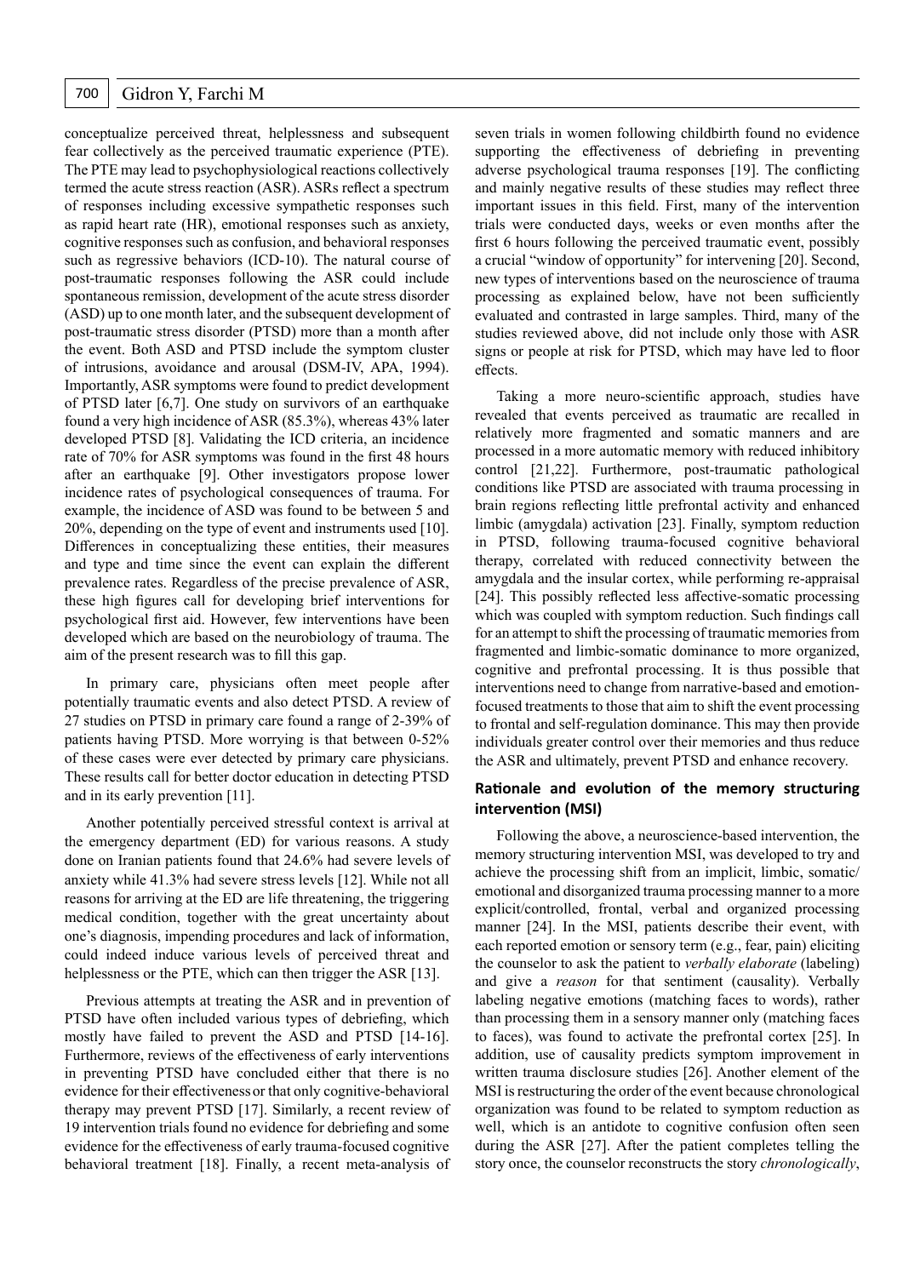conceptualize perceived threat, helplessness and subsequent fear collectively as the perceived traumatic experience (PTE). The PTE may lead to psychophysiological reactions collectively termed the acute stress reaction (ASR). ASRs reflect a spectrum of responses including excessive sympathetic responses such as rapid heart rate (HR), emotional responses such as anxiety, cognitive responses such as confusion, and behavioral responses such as regressive behaviors (ICD-10). The natural course of post-traumatic responses following the ASR could include spontaneous remission, development of the acute stress disorder (ASD) up to one month later, and the subsequent development of post-traumatic stress disorder (PTSD) more than a month after the event. Both ASD and PTSD include the symptom cluster of intrusions, avoidance and arousal (DSM-IV, APA, 1994). Importantly, ASR symptoms were found to predict development of PTSD later [6,7]. One study on survivors of an earthquake found a very high incidence of ASR (85.3%), whereas 43% later developed PTSD [8]. Validating the ICD criteria, an incidence rate of 70% for ASR symptoms was found in the first 48 hours after an earthquake [9]. Other investigators propose lower incidence rates of psychological consequences of trauma. For example, the incidence of ASD was found to be between 5 and 20%, depending on the type of event and instruments used [10]. Differences in conceptualizing these entities, their measures and type and time since the event can explain the different prevalence rates. Regardless of the precise prevalence of ASR, these high figures call for developing brief interventions for psychological first aid. However, few interventions have been developed which are based on the neurobiology of trauma. The aim of the present research was to fill this gap.

In primary care, physicians often meet people after potentially traumatic events and also detect PTSD. A review of 27 studies on PTSD in primary care found a range of 2-39% of patients having PTSD. More worrying is that between 0-52% of these cases were ever detected by primary care physicians. These results call for better doctor education in detecting PTSD and in its early prevention [11].

Another potentially perceived stressful context is arrival at the emergency department (ED) for various reasons. A study done on Iranian patients found that 24.6% had severe levels of anxiety while 41.3% had severe stress levels [12]. While not all reasons for arriving at the ED are life threatening, the triggering medical condition, together with the great uncertainty about one's diagnosis, impending procedures and lack of information, could indeed induce various levels of perceived threat and helplessness or the PTE, which can then trigger the ASR [13].

Previous attempts at treating the ASR and in prevention of PTSD have often included various types of debriefing, which mostly have failed to prevent the ASD and PTSD [14-16]. Furthermore, reviews of the effectiveness of early interventions in preventing PTSD have concluded either that there is no evidence for their effectivenessor that only cognitive-behavioral therapy may prevent PTSD [17]. Similarly, a recent review of 19 intervention trials found no evidence for debriefing and some evidence for the effectiveness of early trauma-focused cognitive behavioral treatment [18]. Finally, a recent meta-analysis of seven trials in women following childbirth found no evidence supporting the effectiveness of debriefing in preventing adverse psychological trauma responses [19]. The conflicting and mainly negative results of these studies may reflect three important issues in this field. First, many of the intervention trials were conducted days, weeks or even months after the first 6 hours following the perceived traumatic event, possibly a crucial "window of opportunity" for intervening [20]. Second, new types of interventions based on the neuroscience of trauma processing as explained below, have not been sufficiently evaluated and contrasted in large samples. Third, many of the studies reviewed above, did not include only those with ASR signs or people at risk for PTSD, which may have led to floor effects.

Taking a more neuro-scientific approach, studies have revealed that events perceived as traumatic are recalled in relatively more fragmented and somatic manners and are processed in a more automatic memory with reduced inhibitory control [21,22]. Furthermore, post-traumatic pathological conditions like PTSD are associated with trauma processing in brain regions reflecting little prefrontal activity and enhanced limbic (amygdala) activation [23]. Finally, symptom reduction in PTSD, following trauma-focused cognitive behavioral therapy, correlated with reduced connectivity between the amygdala and the insular cortex, while performing re-appraisal [24]. This possibly reflected less affective-somatic processing which was coupled with symptom reduction. Such findings call for an attempt to shift the processing of traumatic memories from fragmented and limbic-somatic dominance to more organized, cognitive and prefrontal processing. It is thus possible that interventions need to change from narrative-based and emotionfocused treatments to those that aim to shift the event processing to frontal and self-regulation dominance. This may then provide individuals greater control over their memories and thus reduce the ASR and ultimately, prevent PTSD and enhance recovery.

# **Rationale and evolution of the memory structuring intervention (MSI)**

Following the above, a neuroscience-based intervention, the memory structuring intervention MSI, was developed to try and achieve the processing shift from an implicit, limbic, somatic/ emotional and disorganized trauma processing manner to a more explicit/controlled, frontal, verbal and organized processing manner [24]. In the MSI, patients describe their event, with each reported emotion or sensory term (e.g., fear, pain) eliciting the counselor to ask the patient to *verbally elaborate* (labeling) and give a *reason* for that sentiment (causality). Verbally labeling negative emotions (matching faces to words), rather than processing them in a sensory manner only (matching faces to faces), was found to activate the prefrontal cortex [25]. In addition, use of causality predicts symptom improvement in written trauma disclosure studies [26]. Another element of the MSI is restructuring the order of the event because chronological organization was found to be related to symptom reduction as well, which is an antidote to cognitive confusion often seen during the ASR [27]. After the patient completes telling the story once, the counselor reconstructs the story *chronologically*,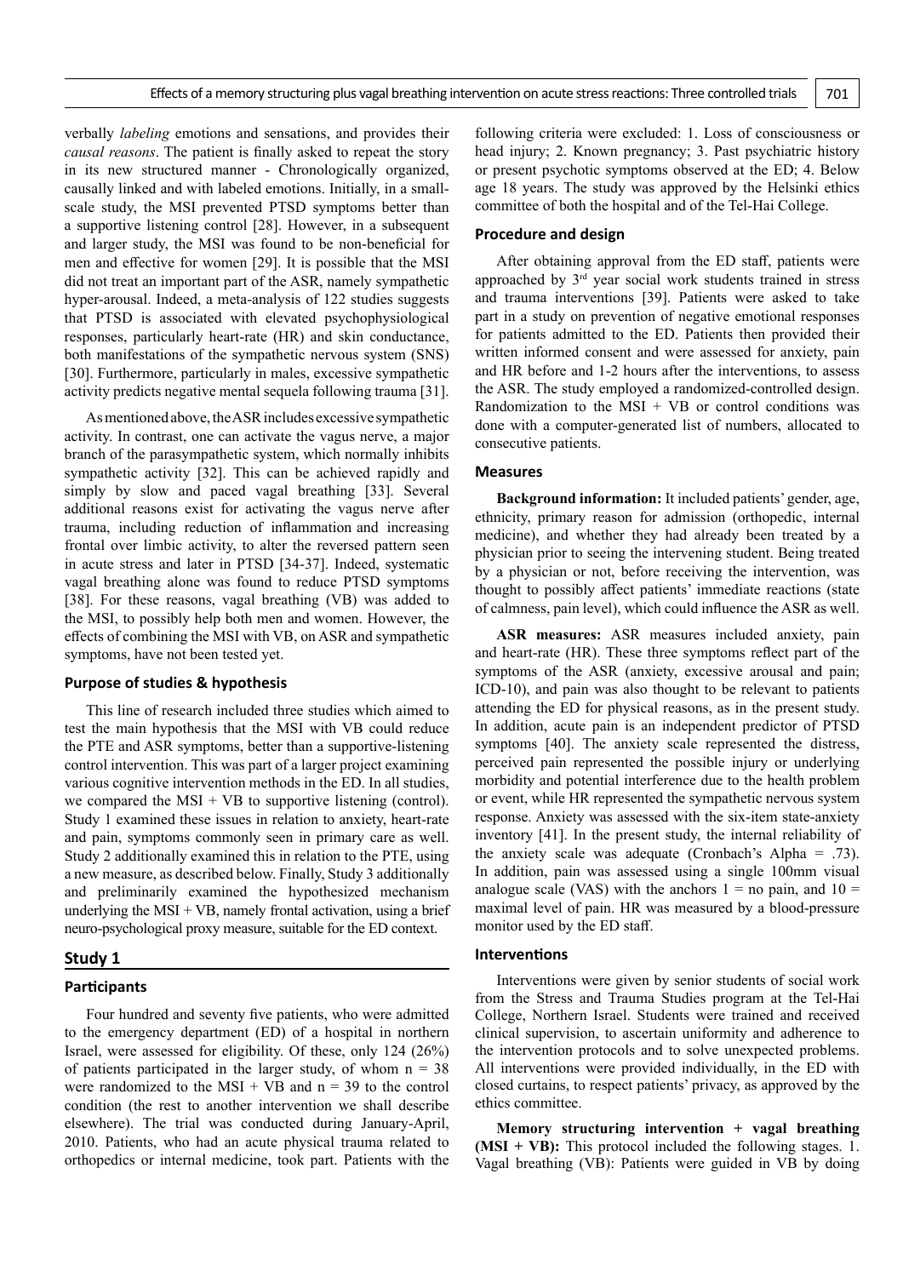verbally *labeling* emotions and sensations, and provides their *causal reasons*. The patient is finally asked to repeat the story in its new structured manner - Chronologically organized, causally linked and with labeled emotions. Initially, in a smallscale study, the MSI prevented PTSD symptoms better than a supportive listening control [28]. However, in a subsequent and larger study, the MSI was found to be non-beneficial for men and effective for women [29]. It is possible that the MSI did not treat an important part of the ASR, namely sympathetic hyper-arousal. Indeed, a meta-analysis of 122 studies suggests that PTSD is associated with elevated psychophysiological responses, particularly heart-rate (HR) and skin conductance, both manifestations of the sympathetic nervous system (SNS) [30]. Furthermore, particularly in males, excessive sympathetic activity predicts negative mental sequela following trauma [31].

As mentioned above, the ASR includes excessive sympathetic activity. In contrast, one can activate the vagus nerve, a major branch of the parasympathetic system, which normally inhibits sympathetic activity [32]. This can be achieved rapidly and simply by slow and paced vagal breathing [33]. Several additional reasons exist for activating the vagus nerve after trauma, including reduction of inflammation and increasing frontal over limbic activity, to alter the reversed pattern seen in acute stress and later in PTSD [34-37]. Indeed, systematic vagal breathing alone was found to reduce PTSD symptoms [38]. For these reasons, vagal breathing (VB) was added to the MSI, to possibly help both men and women. However, the effects of combining the MSI with VB, on ASR and sympathetic symptoms, have not been tested yet.

#### **Purpose of studies & hypothesis**

This line of research included three studies which aimed to test the main hypothesis that the MSI with VB could reduce the PTE and ASR symptoms, better than a supportive-listening control intervention. This was part of a larger project examining various cognitive intervention methods in the ED. In all studies, we compared the MSI + VB to supportive listening (control). Study 1 examined these issues in relation to anxiety, heart-rate and pain, symptoms commonly seen in primary care as well. Study 2 additionally examined this in relation to the PTE, using a new measure, as described below. Finally, Study 3 additionally and preliminarily examined the hypothesized mechanism underlying the  $MSI + VB$ , namely frontal activation, using a brief neuro-psychological proxy measure, suitable for the ED context.

#### **Study 1**

# **Participants**

Four hundred and seventy five patients, who were admitted to the emergency department (ED) of a hospital in northern Israel, were assessed for eligibility. Of these, only 124 (26%) of patients participated in the larger study, of whom  $n = 38$ were randomized to the MSI + VB and  $n = 39$  to the control condition (the rest to another intervention we shall describe elsewhere). The trial was conducted during January-April, 2010. Patients, who had an acute physical trauma related to orthopedics or internal medicine, took part. Patients with the

following criteria were excluded: 1. Loss of consciousness or head injury; 2. Known pregnancy; 3. Past psychiatric history or present psychotic symptoms observed at the ED; 4. Below age 18 years. The study was approved by the Helsinki ethics committee of both the hospital and of the Tel-Hai College.

#### **Procedure and design**

After obtaining approval from the ED staff, patients were approached by 3rd year social work students trained in stress and trauma interventions [39]. Patients were asked to take part in a study on prevention of negative emotional responses for patients admitted to the ED. Patients then provided their written informed consent and were assessed for anxiety, pain and HR before and 1-2 hours after the interventions, to assess the ASR. The study employed a randomized-controlled design. Randomization to the  $MSI + VB$  or control conditions was done with a computer-generated list of numbers, allocated to consecutive patients.

#### **Measures**

**Background information:** It included patients' gender, age, ethnicity, primary reason for admission (orthopedic, internal medicine), and whether they had already been treated by a physician prior to seeing the intervening student. Being treated by a physician or not, before receiving the intervention, was thought to possibly affect patients' immediate reactions (state of calmness, pain level), which could influence the ASR as well.

**ASR measures:** ASR measures included anxiety, pain and heart-rate (HR). These three symptoms reflect part of the symptoms of the ASR (anxiety, excessive arousal and pain; ICD-10), and pain was also thought to be relevant to patients attending the ED for physical reasons, as in the present study. In addition, acute pain is an independent predictor of PTSD symptoms [40]. The anxiety scale represented the distress, perceived pain represented the possible injury or underlying morbidity and potential interference due to the health problem or event, while HR represented the sympathetic nervous system response. Anxiety was assessed with the six-item state-anxiety inventory [41]. In the present study, the internal reliability of the anxiety scale was adequate (Cronbach's Alpha = .73). In addition, pain was assessed using a single 100mm visual analogue scale (VAS) with the anchors  $1 =$  no pain, and  $10 =$ maximal level of pain. HR was measured by a blood-pressure monitor used by the ED staff.

# **Interventions**

Interventions were given by senior students of social work from the Stress and Trauma Studies program at the Tel-Hai College, Northern Israel. Students were trained and received clinical supervision, to ascertain uniformity and adherence to the intervention protocols and to solve unexpected problems. All interventions were provided individually, in the ED with closed curtains, to respect patients' privacy, as approved by the ethics committee.

**Memory structuring intervention + vagal breathing (MSI + VB):** This protocol included the following stages. 1. Vagal breathing (VB): Patients were guided in VB by doing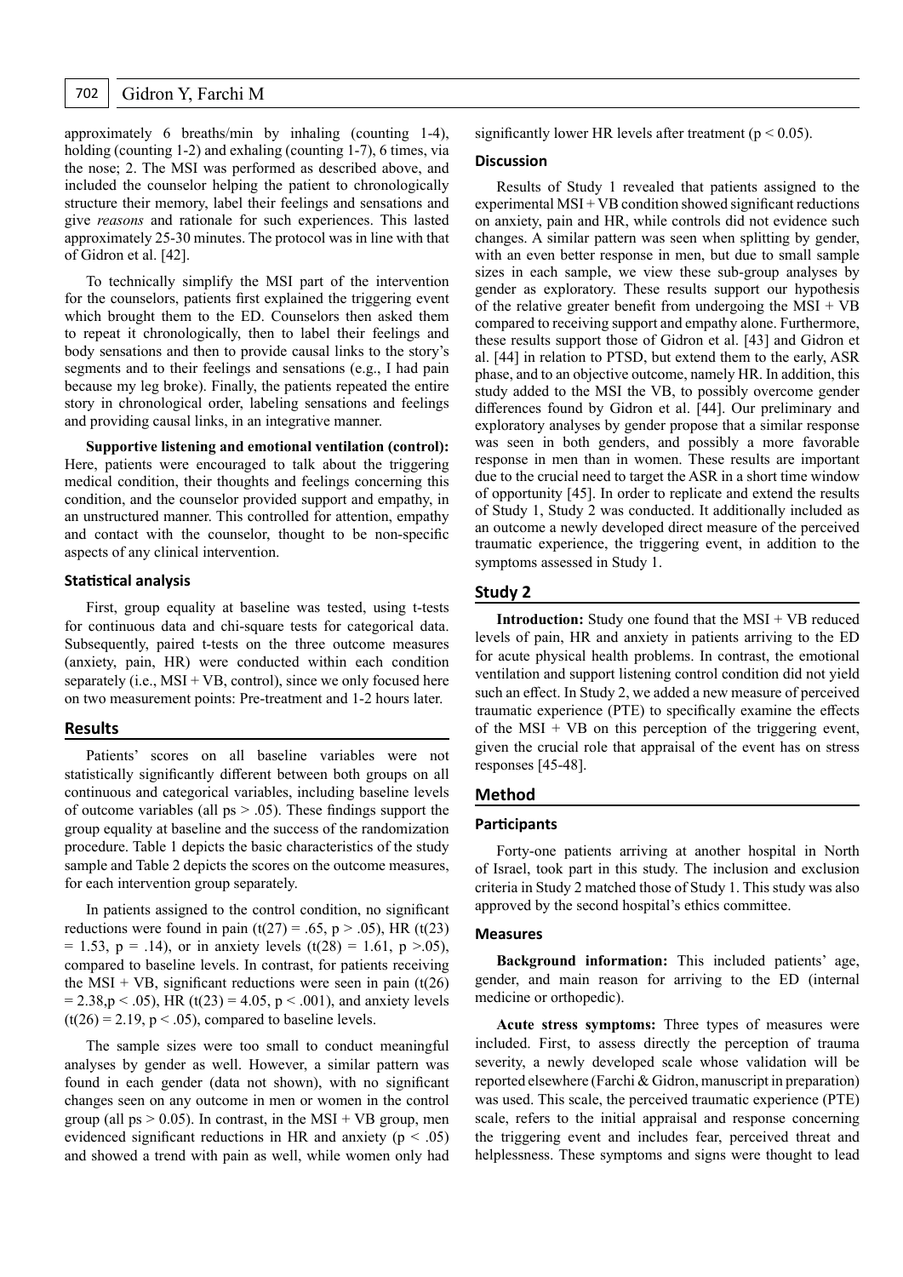approximately 6 breaths/min by inhaling (counting 1-4), holding (counting 1-2) and exhaling (counting 1-7), 6 times, via the nose; 2. The MSI was performed as described above, and included the counselor helping the patient to chronologically structure their memory, label their feelings and sensations and give *reasons* and rationale for such experiences. This lasted approximately 25-30 minutes. The protocol was in line with that of Gidron et al. [42].

To technically simplify the MSI part of the intervention for the counselors, patients first explained the triggering event which brought them to the ED. Counselors then asked them to repeat it chronologically, then to label their feelings and body sensations and then to provide causal links to the story's segments and to their feelings and sensations (e.g., I had pain because my leg broke). Finally, the patients repeated the entire story in chronological order, labeling sensations and feelings and providing causal links, in an integrative manner.

**Supportive listening and emotional ventilation (control):**  Here, patients were encouraged to talk about the triggering medical condition, their thoughts and feelings concerning this condition, and the counselor provided support and empathy, in an unstructured manner. This controlled for attention, empathy and contact with the counselor, thought to be non-specific aspects of any clinical intervention.

#### **Statistical analysis**

First, group equality at baseline was tested, using t-tests for continuous data and chi-square tests for categorical data. Subsequently, paired t-tests on the three outcome measures (anxiety, pain, HR) were conducted within each condition separately (i.e.,  $MSI + VB$ , control), since we only focused here on two measurement points: Pre-treatment and 1-2 hours later.

# **Results**

Patients' scores on all baseline variables were not statistically significantly different between both groups on all continuous and categorical variables, including baseline levels of outcome variables (all  $ps > .05$ ). These findings support the group equality at baseline and the success of the randomization procedure. Table 1 depicts the basic characteristics of the study sample and Table 2 depicts the scores on the outcome measures, for each intervention group separately.

In patients assigned to the control condition, no significant reductions were found in pain (t(27) = .65, p > .05), HR (t(23)  $= 1.53$ ,  $p = .14$ ), or in anxiety levels (t(28) = 1.61, p >.05), compared to baseline levels. In contrast, for patients receiving the MSI + VB, significant reductions were seen in pain  $(t(26))$  $= 2.38, p < .05$ ), HR (t(23) = 4.05, p < .001), and anxiety levels  $(t(26) = 2.19, p < .05)$ , compared to baseline levels.

The sample sizes were too small to conduct meaningful analyses by gender as well. However, a similar pattern was found in each gender (data not shown), with no significant changes seen on any outcome in men or women in the control group (all  $ps > 0.05$ ). In contrast, in the MSI + VB group, men evidenced significant reductions in HR and anxiety ( $p < .05$ ) and showed a trend with pain as well, while women only had significantly lower HR levels after treatment ( $p < 0.05$ ).

# **Discussion**

Results of Study 1 revealed that patients assigned to the experimental  $MSI + VB$  condition showed significant reductions on anxiety, pain and HR, while controls did not evidence such changes. A similar pattern was seen when splitting by gender, with an even better response in men, but due to small sample sizes in each sample, we view these sub-group analyses by gender as exploratory. These results support our hypothesis of the relative greater benefit from undergoing the  $MSI + VB$ compared to receiving support and empathy alone. Furthermore, these results support those of Gidron et al. [43] and Gidron et al. [44] in relation to PTSD, but extend them to the early, ASR phase, and to an objective outcome, namely HR. In addition, this study added to the MSI the VB, to possibly overcome gender differences found by Gidron et al. [44]. Our preliminary and exploratory analyses by gender propose that a similar response was seen in both genders, and possibly a more favorable response in men than in women. These results are important due to the crucial need to target the ASR in a short time window of opportunity [45]. In order to replicate and extend the results of Study 1, Study 2 was conducted. It additionally included as an outcome a newly developed direct measure of the perceived traumatic experience, the triggering event, in addition to the symptoms assessed in Study 1.

# **Study 2**

**Introduction:** Study one found that the MSI + VB reduced levels of pain, HR and anxiety in patients arriving to the ED for acute physical health problems. In contrast, the emotional ventilation and support listening control condition did not yield such an effect. In Study 2, we added a new measure of perceived traumatic experience (PTE) to specifically examine the effects of the  $MSI + VB$  on this perception of the triggering event, given the crucial role that appraisal of the event has on stress responses [45-48].

# **Method**

# **Participants**

Forty-one patients arriving at another hospital in North of Israel, took part in this study. The inclusion and exclusion criteria in Study 2 matched those of Study 1. This study was also approved by the second hospital's ethics committee.

#### **Measures**

**Background information:** This included patients' age, gender, and main reason for arriving to the ED (internal medicine or orthopedic).

**Acute stress symptoms:** Three types of measures were included. First, to assess directly the perception of trauma severity, a newly developed scale whose validation will be reported elsewhere (Farchi & Gidron, manuscript in preparation) was used. This scale, the perceived traumatic experience (PTE) scale, refers to the initial appraisal and response concerning the triggering event and includes fear, perceived threat and helplessness. These symptoms and signs were thought to lead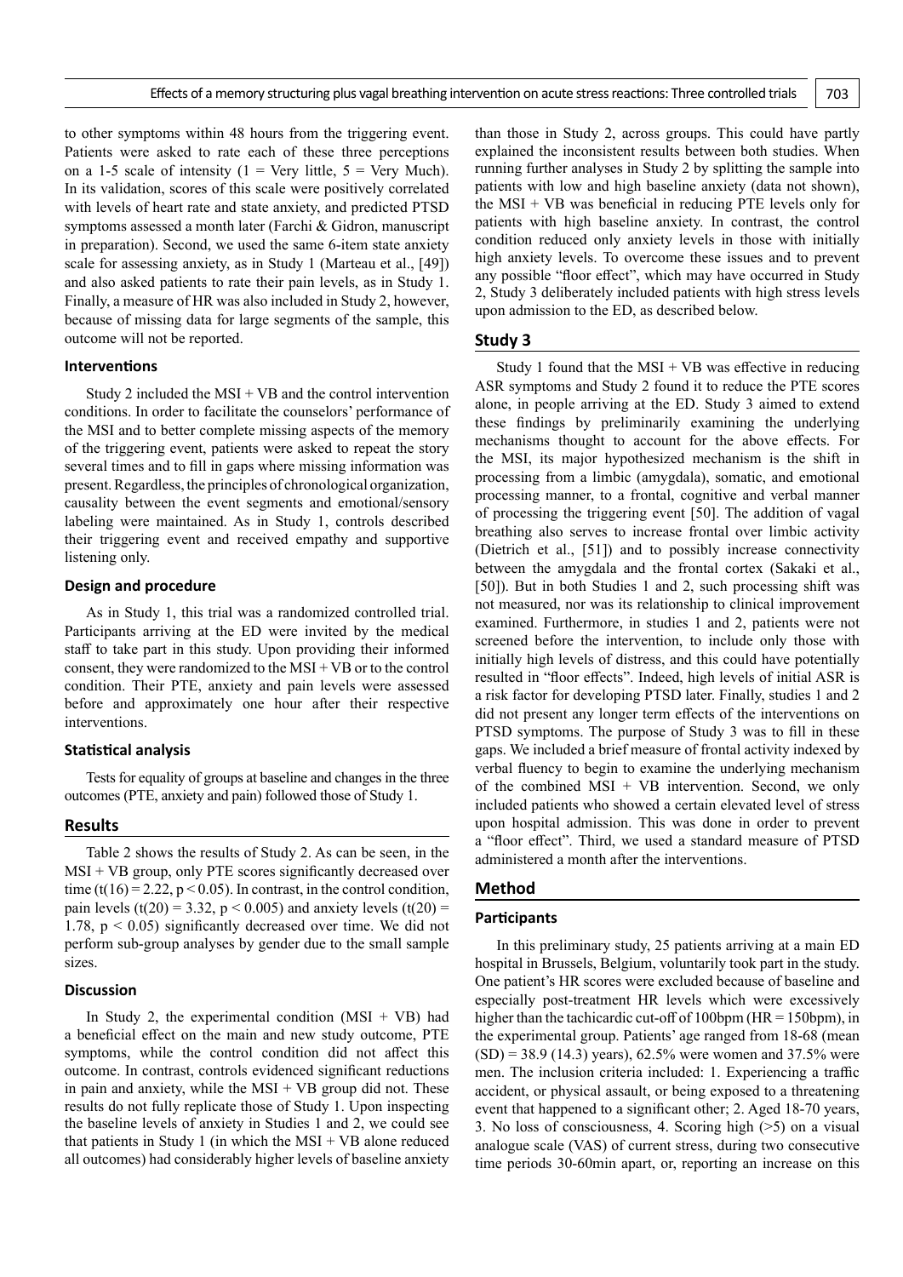to other symptoms within 48 hours from the triggering event. Patients were asked to rate each of these three perceptions on a 1-5 scale of intensity (1 = Very little,  $5$  = Very Much). In its validation, scores of this scale were positively correlated with levels of heart rate and state anxiety, and predicted PTSD symptoms assessed a month later (Farchi & Gidron, manuscript in preparation). Second, we used the same 6-item state anxiety scale for assessing anxiety, as in Study 1 (Marteau et al., [49]) and also asked patients to rate their pain levels, as in Study 1. Finally, a measure of HR was also included in Study 2, however, because of missing data for large segments of the sample, this outcome will not be reported.

#### **Interventions**

Study 2 included the  $MSI + VB$  and the control intervention conditions. In order to facilitate the counselors' performance of the MSI and to better complete missing aspects of the memory of the triggering event, patients were asked to repeat the story several times and to fill in gaps where missing information was present. Regardless, the principles of chronological organization, causality between the event segments and emotional/sensory labeling were maintained. As in Study 1, controls described their triggering event and received empathy and supportive listening only.

#### **Design and procedure**

As in Study 1, this trial was a randomized controlled trial. Participants arriving at the ED were invited by the medical staff to take part in this study. Upon providing their informed consent, they were randomized to the MSI + VB or to the control condition. Their PTE, anxiety and pain levels were assessed before and approximately one hour after their respective interventions.

#### **Statistical analysis**

Tests for equality of groups at baseline and changes in the three outcomes (PTE, anxiety and pain) followed those of Study 1.

# **Results**

Table 2 shows the results of Study 2. As can be seen, in the MSI + VB group, only PTE scores significantly decreased over time (t(16) = 2.22,  $p < 0.05$ ). In contrast, in the control condition, pain levels (t(20) = 3.32,  $p < 0.005$ ) and anxiety levels (t(20) = 1.78,  $p < 0.05$ ) significantly decreased over time. We did not perform sub-group analyses by gender due to the small sample sizes.

#### **Discussion**

In Study 2, the experimental condition  $(MSI + VB)$  had a beneficial effect on the main and new study outcome, PTE symptoms, while the control condition did not affect this outcome. In contrast, controls evidenced significant reductions in pain and anxiety, while the  $MSI + VB$  group did not. These results do not fully replicate those of Study 1. Upon inspecting the baseline levels of anxiety in Studies 1 and 2, we could see that patients in Study 1 (in which the  $MSI + VB$  alone reduced all outcomes) had considerably higher levels of baseline anxiety

than those in Study 2, across groups. This could have partly explained the inconsistent results between both studies. When running further analyses in Study 2 by splitting the sample into patients with low and high baseline anxiety (data not shown), the MSI + VB was beneficial in reducing PTE levels only for patients with high baseline anxiety. In contrast, the control condition reduced only anxiety levels in those with initially high anxiety levels. To overcome these issues and to prevent any possible "floor effect", which may have occurred in Study 2, Study 3 deliberately included patients with high stress levels upon admission to the ED, as described below.

#### **Study 3**

Study 1 found that the  $MSI + VB$  was effective in reducing ASR symptoms and Study 2 found it to reduce the PTE scores alone, in people arriving at the ED. Study 3 aimed to extend these findings by preliminarily examining the underlying mechanisms thought to account for the above effects. For the MSI, its major hypothesized mechanism is the shift in processing from a limbic (amygdala), somatic, and emotional processing manner, to a frontal, cognitive and verbal manner of processing the triggering event [50]. The addition of vagal breathing also serves to increase frontal over limbic activity (Dietrich et al., [51]) and to possibly increase connectivity between the amygdala and the frontal cortex (Sakaki et al., [50]). But in both Studies 1 and 2, such processing shift was not measured, nor was its relationship to clinical improvement examined. Furthermore, in studies 1 and 2, patients were not screened before the intervention, to include only those with initially high levels of distress, and this could have potentially resulted in "floor effects". Indeed, high levels of initial ASR is a risk factor for developing PTSD later. Finally, studies 1 and 2 did not present any longer term effects of the interventions on PTSD symptoms. The purpose of Study 3 was to fill in these gaps. We included a brief measure of frontal activity indexed by verbal fluency to begin to examine the underlying mechanism of the combined  $MSI + VB$  intervention. Second, we only included patients who showed a certain elevated level of stress upon hospital admission. This was done in order to prevent a "floor effect". Third, we used a standard measure of PTSD administered a month after the interventions.

#### **Method**

### **Participants**

In this preliminary study, 25 patients arriving at a main ED hospital in Brussels, Belgium, voluntarily took part in the study. One patient's HR scores were excluded because of baseline and especially post-treatment HR levels which were excessively higher than the tachicardic cut-off of 100bpm (HR = 150bpm), in the experimental group. Patients' age ranged from 18-68 (mean  $(SD) = 38.9$  (14.3) years), 62.5% were women and 37.5% were men. The inclusion criteria included: 1. Experiencing a traffic accident, or physical assault, or being exposed to a threatening event that happened to a significant other; 2. Aged 18-70 years, 3. No loss of consciousness, 4. Scoring high (>5) on a visual analogue scale (VAS) of current stress, during two consecutive time periods 30-60min apart, or, reporting an increase on this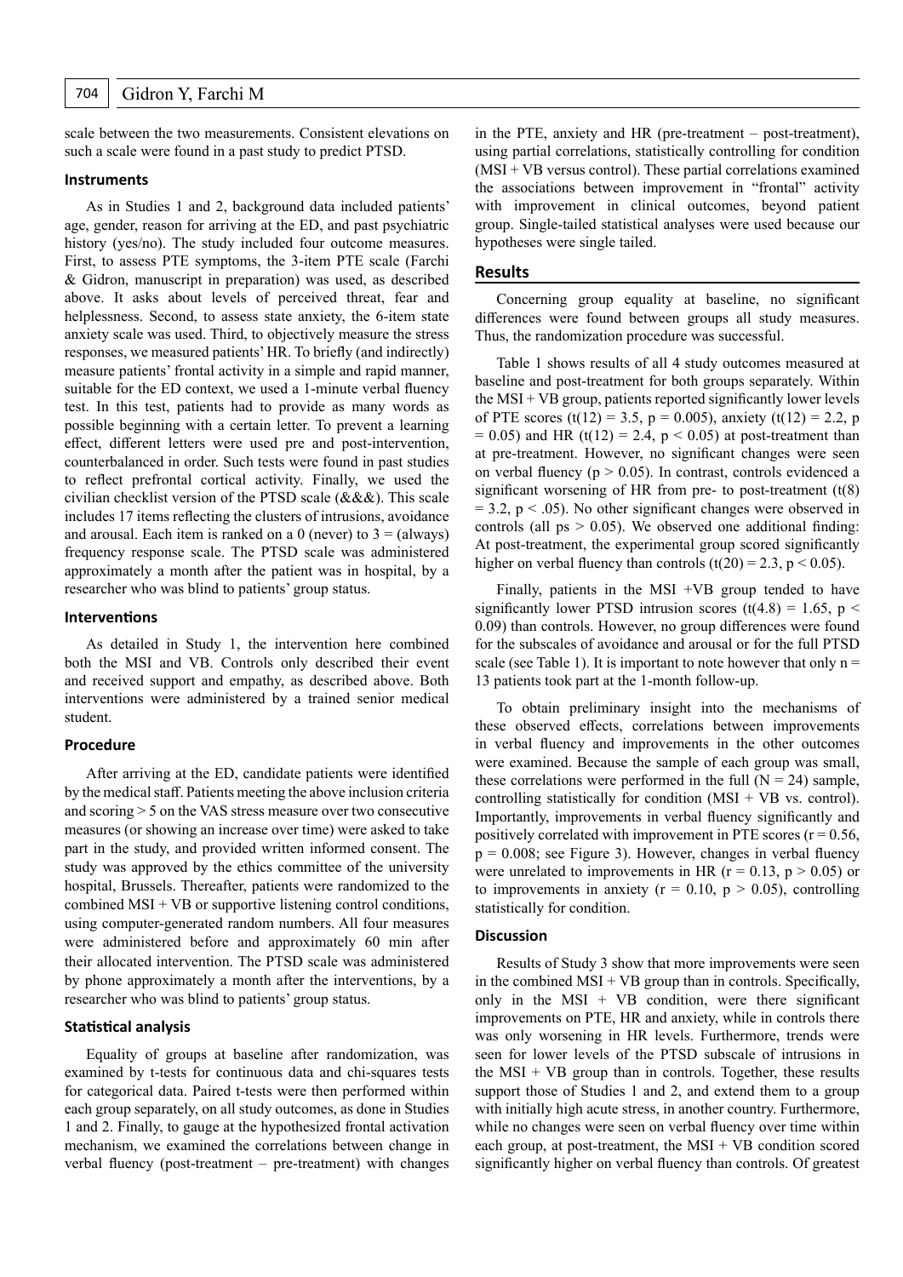scale between the two measurements. Consistent elevations on such a scale were found in a past study to predict PTSD.

#### **Instruments**

As in Studies 1 and 2, background data included patients' age, gender, reason for arriving at the ED, and past psychiatric history (yes/no). The study included four outcome measures. First, to assess PTE symptoms, the 3-item PTE scale (Farchi & Gidron, manuscript in preparation) was used, as described above. It asks about levels of perceived threat, fear and helplessness. Second, to assess state anxiety, the 6-item state anxiety scale was used. Third, to objectively measure the stress responses, we measured patients' HR. To briefly (and indirectly) measure patients' frontal activity in a simple and rapid manner, suitable for the ED context, we used a 1-minute verbal fluency test. In this test, patients had to provide as many words as possible beginning with a certain letter. To prevent a learning effect, different letters were used pre and post-intervention, counterbalanced in order. Such tests were found in past studies to reflect prefrontal cortical activity. Finally, we used the civilian checklist version of the PTSD scale (&&&). This scale includes 17 items reflecting the clusters of intrusions, avoidance and arousal. Each item is ranked on a 0 (never) to  $3 = (always)$ frequency response scale. The PTSD scale was administered approximately a month after the patient was in hospital, by a researcher who was blind to patients' group status.

#### **Interventions**

As detailed in Study 1, the intervention here combined both the MSI and VB. Controls only described their event and received support and empathy, as described above. Both interventions were administered by a trained senior medical student.

#### **Procedure**

After arriving at the ED, candidate patients were identified by the medical staff. Patients meeting the above inclusion criteria and scoring > 5 on the VAS stress measure over two consecutive measures (or showing an increase over time) were asked to take part in the study, and provided written informed consent. The study was approved by the ethics committee of the university hospital, Brussels. Thereafter, patients were randomized to the combined  $MSI + VB$  or supportive listening control conditions, using computer-generated random numbers. All four measures were administered before and approximately 60 min after their allocated intervention. The PTSD scale was administered by phone approximately a month after the interventions, by a researcher who was blind to patients' group status.

### **Statistical analysis**

Equality of groups at baseline after randomization, was examined by t-tests for continuous data and chi-squares tests for categorical data. Paired t-tests were then performed within each group separately, on all study outcomes, as done in Studies 1 and 2. Finally, to gauge at the hypothesized frontal activation mechanism, we examined the correlations between change in verbal fluency (post-treatment – pre-treatment) with changes

in the PTE, anxiety and HR (pre-treatment – post-treatment), using partial correlations, statistically controlling for condition  $(MSI + VB$  versus control). These partial correlations examined the associations between improvement in "frontal" activity with improvement in clinical outcomes, beyond patient group. Single-tailed statistical analyses were used because our hypotheses were single tailed.

### **Results**

Concerning group equality at baseline, no significant differences were found between groups all study measures. Thus, the randomization procedure was successful.

Table 1 shows results of all 4 study outcomes measured at baseline and post-treatment for both groups separately. Within the  $MSI + VB$  group, patients reported significantly lower levels of PTE scores (t(12) = 3.5, p = 0.005), anxiety (t(12) = 2.2, p  $= 0.05$ ) and HR (t(12) = 2.4, p < 0.05) at post-treatment than at pre-treatment. However, no significant changes were seen on verbal fluency ( $p > 0.05$ ). In contrast, controls evidenced a significant worsening of HR from pre- to post-treatment  $(t(8))$  $= 3.2$ , p  $\lt$  .05). No other significant changes were observed in controls (all  $ps > 0.05$ ). We observed one additional finding: At post-treatment, the experimental group scored significantly higher on verbal fluency than controls  $(t(20) = 2.3, p < 0.05)$ .

Finally, patients in the MSI  $+VB$  group tended to have significantly lower PTSD intrusion scores (t(4.8) = 1.65, p < 0.09) than controls. However, no group differences were found for the subscales of avoidance and arousal or for the full PTSD scale (see Table 1). It is important to note however that only  $n =$ 13 patients took part at the 1-month follow-up.

To obtain preliminary insight into the mechanisms of these observed effects, correlations between improvements in verbal fluency and improvements in the other outcomes were examined. Because the sample of each group was small, these correlations were performed in the full  $(N = 24)$  sample, controlling statistically for condition  $(MSI + VB$  vs. control). Importantly, improvements in verbal fluency significantly and positively correlated with improvement in PTE scores  $(r = 0.56,$  $p = 0.008$ ; see Figure 3). However, changes in verbal fluency were unrelated to improvements in HR ( $r = 0.13$ ,  $p > 0.05$ ) or to improvements in anxiety ( $r = 0.10$ ,  $p > 0.05$ ), controlling statistically for condition.

# **Discussion**

Results of Study 3 show that more improvements were seen in the combined  $MSI + VB$  group than in controls. Specifically, only in the  $MSI + VB$  condition, were there significant improvements on PTE, HR and anxiety, while in controls there was only worsening in HR levels. Furthermore, trends were seen for lower levels of the PTSD subscale of intrusions in the  $MSI + VB$  group than in controls. Together, these results support those of Studies 1 and 2, and extend them to a group with initially high acute stress, in another country. Furthermore, while no changes were seen on verbal fluency over time within each group, at post-treatment, the MSI + VB condition scored significantly higher on verbal fluency than controls. Of greatest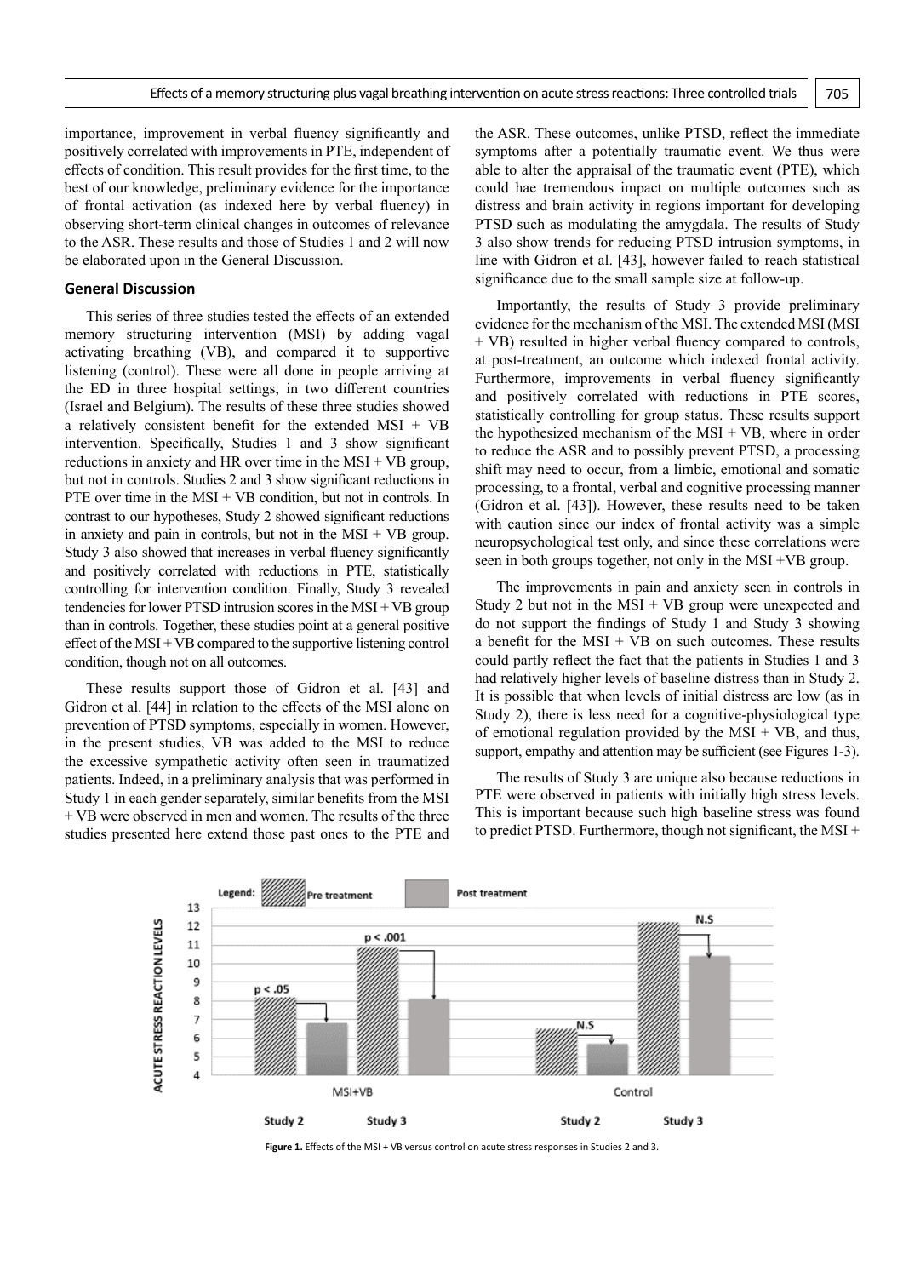importance, improvement in verbal fluency significantly and positively correlated with improvements in PTE, independent of effects of condition. This result provides for the first time, to the best of our knowledge, preliminary evidence for the importance of frontal activation (as indexed here by verbal fluency) in observing short-term clinical changes in outcomes of relevance to the ASR. These results and those of Studies 1 and 2 will now be elaborated upon in the General Discussion.

# **General Discussion**

This series of three studies tested the effects of an extended memory structuring intervention (MSI) by adding vagal activating breathing (VB), and compared it to supportive listening (control). These were all done in people arriving at the ED in three hospital settings, in two different countries (Israel and Belgium). The results of these three studies showed a relatively consistent benefit for the extended MSI + VB intervention. Specifically, Studies 1 and 3 show significant reductions in anxiety and HR over time in the  $MSI + VB$  group, but not in controls. Studies 2 and 3 show significant reductions in PTE over time in the  $MSI + VB$  condition, but not in controls. In contrast to our hypotheses, Study 2 showed significant reductions in anxiety and pain in controls, but not in the  $MSI + VB$  group. Study 3 also showed that increases in verbal fluency significantly and positively correlated with reductions in PTE, statistically controlling for intervention condition. Finally, Study 3 revealed tendencies for lower PTSD intrusion scores in the  $MSI + VB$  group than in controls. Together, these studies point at a general positive effect of the MSI + VB compared to the supportive listening control condition, though not on all outcomes.

These results support those of Gidron et al. [43] and Gidron et al. [44] in relation to the effects of the MSI alone on prevention of PTSD symptoms, especially in women. However, in the present studies, VB was added to the MSI to reduce the excessive sympathetic activity often seen in traumatized patients. Indeed, in a preliminary analysis that was performed in Study 1 in each gender separately, similar benefits from the MSI + VB were observed in men and women. The results of the three studies presented here extend those past ones to the PTE and

the ASR. These outcomes, unlike PTSD, reflect the immediate symptoms after a potentially traumatic event. We thus were able to alter the appraisal of the traumatic event (PTE), which could hae tremendous impact on multiple outcomes such as distress and brain activity in regions important for developing PTSD such as modulating the amygdala. The results of Study 3 also show trends for reducing PTSD intrusion symptoms, in line with Gidron et al. [43], however failed to reach statistical significance due to the small sample size at follow-up.

Importantly, the results of Study 3 provide preliminary evidence for the mechanism of the MSI. The extended MSI (MSI + VB) resulted in higher verbal fluency compared to controls, at post-treatment, an outcome which indexed frontal activity. Furthermore, improvements in verbal fluency significantly and positively correlated with reductions in PTE scores, statistically controlling for group status. These results support the hypothesized mechanism of the  $MSI + VB$ , where in order to reduce the ASR and to possibly prevent PTSD, a processing shift may need to occur, from a limbic, emotional and somatic processing, to a frontal, verbal and cognitive processing manner (Gidron et al. [43]). However, these results need to be taken with caution since our index of frontal activity was a simple neuropsychological test only, and since these correlations were seen in both groups together, not only in the MSI +VB group.

The improvements in pain and anxiety seen in controls in Study 2 but not in the  $MSI + VB$  group were unexpected and do not support the findings of Study 1 and Study 3 showing a benefit for the  $MSI + VB$  on such outcomes. These results could partly reflect the fact that the patients in Studies 1 and 3 had relatively higher levels of baseline distress than in Study 2. It is possible that when levels of initial distress are low (as in Study 2), there is less need for a cognitive-physiological type of emotional regulation provided by the  $MSI + VB$ , and thus, support, empathy and attention may be sufficient (see Figures 1-3).

The results of Study 3 are unique also because reductions in PTE were observed in patients with initially high stress levels. This is important because such high baseline stress was found to predict PTSD. Furthermore, though not significant, the MSI +



Figure 1. Effects of the MSI + VB versus control on acute stress responses in Studies 2 and 3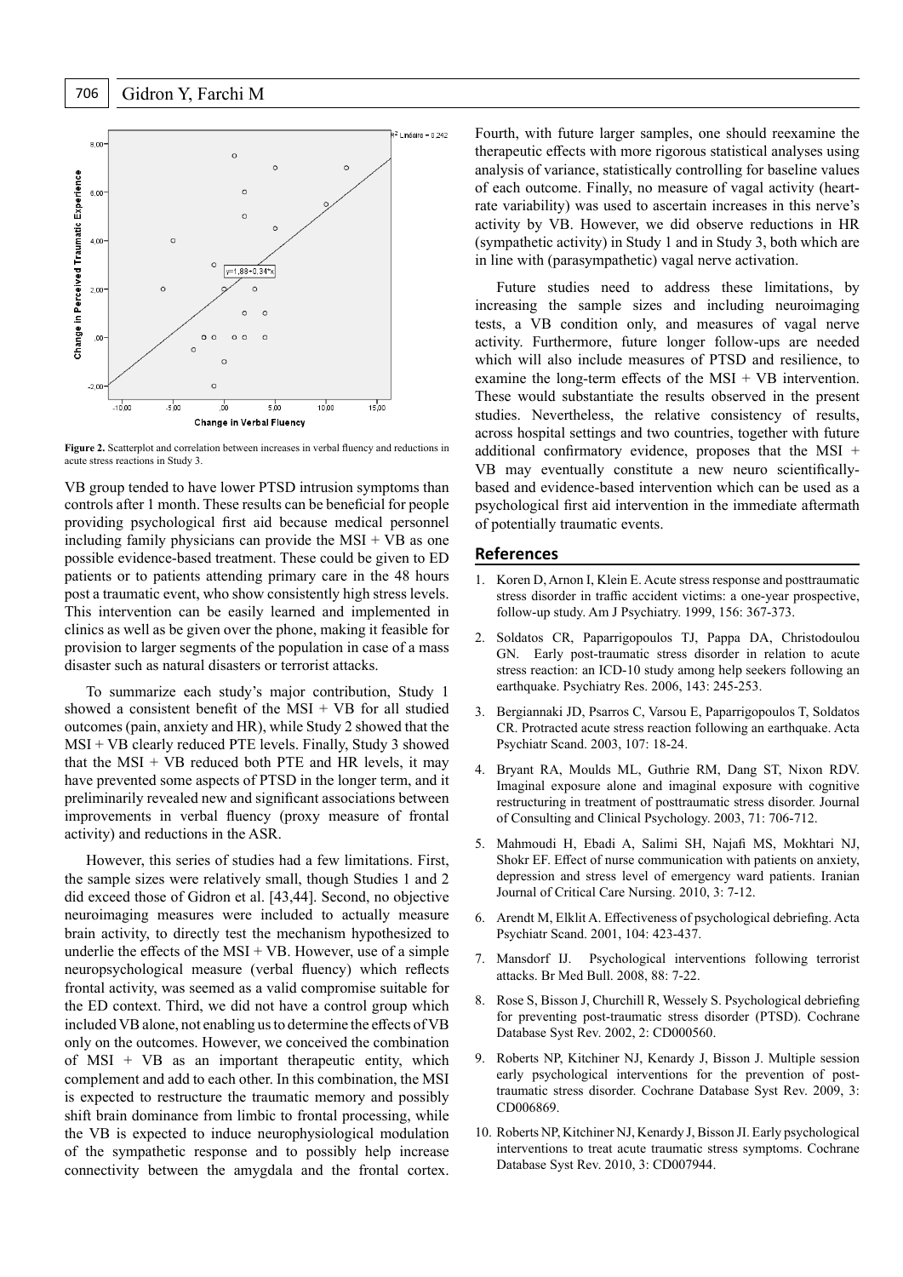

**Figure 2.** Scatterplot and correlation between increases in verbal fluency and reductions in acute stress reactions in Study 3.

VB group tended to have lower PTSD intrusion symptoms than controls after 1 month. These results can be beneficial for people providing psychological first aid because medical personnel including family physicians can provide the  $MSI + VB$  as one possible evidence-based treatment. These could be given to ED patients or to patients attending primary care in the 48 hours post a traumatic event, who show consistently high stress levels. This intervention can be easily learned and implemented in clinics as well as be given over the phone, making it feasible for provision to larger segments of the population in case of a mass disaster such as natural disasters or terrorist attacks.

To summarize each study's major contribution, Study 1 showed a consistent benefit of the  $MSI + VB$  for all studied outcomes (pain, anxiety and HR), while Study 2 showed that the MSI + VB clearly reduced PTE levels. Finally, Study 3 showed that the  $MSI + VB$  reduced both PTE and HR levels, it may have prevented some aspects of PTSD in the longer term, and it preliminarily revealed new and significant associations between improvements in verbal fluency (proxy measure of frontal activity) and reductions in the ASR.

However, this series of studies had a few limitations. First, the sample sizes were relatively small, though Studies 1 and 2 did exceed those of Gidron et al. [43,44]. Second, no objective neuroimaging measures were included to actually measure brain activity, to directly test the mechanism hypothesized to underlie the effects of the  $MSI + VB$ . However, use of a simple neuropsychological measure (verbal fluency) which reflects frontal activity, was seemed as a valid compromise suitable for the ED context. Third, we did not have a control group which included VB alone, not enabling us to determine the effects of VB only on the outcomes. However, we conceived the combination of MSI + VB as an important therapeutic entity, which complement and add to each other. In this combination, the MSI is expected to restructure the traumatic memory and possibly shift brain dominance from limbic to frontal processing, while the VB is expected to induce neurophysiological modulation of the sympathetic response and to possibly help increase connectivity between the amygdala and the frontal cortex.

Fourth, with future larger samples, one should reexamine the therapeutic effects with more rigorous statistical analyses using analysis of variance, statistically controlling for baseline values of each outcome. Finally, no measure of vagal activity (heartrate variability) was used to ascertain increases in this nerve's activity by VB. However, we did observe reductions in HR (sympathetic activity) in Study 1 and in Study 3, both which are in line with (parasympathetic) vagal nerve activation.

Future studies need to address these limitations, by increasing the sample sizes and including neuroimaging tests, a VB condition only, and measures of vagal nerve activity. Furthermore, future longer follow-ups are needed which will also include measures of PTSD and resilience, to examine the long-term effects of the  $MSI + VB$  intervention. These would substantiate the results observed in the present studies. Nevertheless, the relative consistency of results, across hospital settings and two countries, together with future additional confirmatory evidence, proposes that the MSI + VB may eventually constitute a new neuro scientificallybased and evidence-based intervention which can be used as a psychological first aid intervention in the immediate aftermath of potentially traumatic events.

# **References**

- 1. Koren D, Arnon I, Klein E. Acute stress response and posttraumatic stress disorder in traffic accident victims: a one-year prospective, follow-up study. Am J Psychiatry. 1999, 156: 367-373.
- 2. Soldatos CR, Paparrigopoulos TJ, Pappa DA, Christodoulou GN. Early post-traumatic stress disorder in relation to acute stress reaction: an ICD-10 study among help seekers following an earthquake. Psychiatry Res. 2006, 143: 245-253.
- 3. Bergiannaki JD, Psarros C, Varsou E, Paparrigopoulos T, Soldatos CR. Protracted acute stress reaction following an earthquake. Acta Psychiatr Scand. 2003, 107: 18-24.
- 4. Bryant RA, Moulds ML, Guthrie RM, Dang ST, Nixon RDV. Imaginal exposure alone and imaginal exposure with cognitive restructuring in treatment of posttraumatic stress disorder. Journal of Consulting and Clinical Psychology. 2003, 71: 706-712.
- 5. Mahmoudi H, Ebadi A, Salimi SH, Najafi MS, Mokhtari NJ, Shokr EF. Effect of nurse communication with patients on anxiety, depression and stress level of emergency ward patients. Iranian Journal of Critical Care Nursing. 2010, 3: 7-12.
- 6. Arendt M, Elklit A. Effectiveness of psychological debriefing. Acta Psychiatr Scand. 2001, 104: 423-437.
- 7. Mansdorf IJ. Psychological interventions following terrorist attacks. Br Med Bull. 2008, 88: 7-22.
- 8. Rose S, Bisson J, Churchill R, Wessely S. Psychological debriefing for preventing post-traumatic stress disorder (PTSD). Cochrane Database Syst Rev. 2002, 2: CD000560.
- 9. Roberts NP, Kitchiner NJ, Kenardy J, Bisson J. Multiple session early psychological interventions for the prevention of posttraumatic stress disorder. Cochrane Database Syst Rev. 2009, 3: CD006869.
- 10. Roberts NP, Kitchiner NJ, Kenardy J, Bisson JI. Early psychological interventions to treat acute traumatic stress symptoms. Cochrane Database Syst Rev. 2010, 3: CD007944.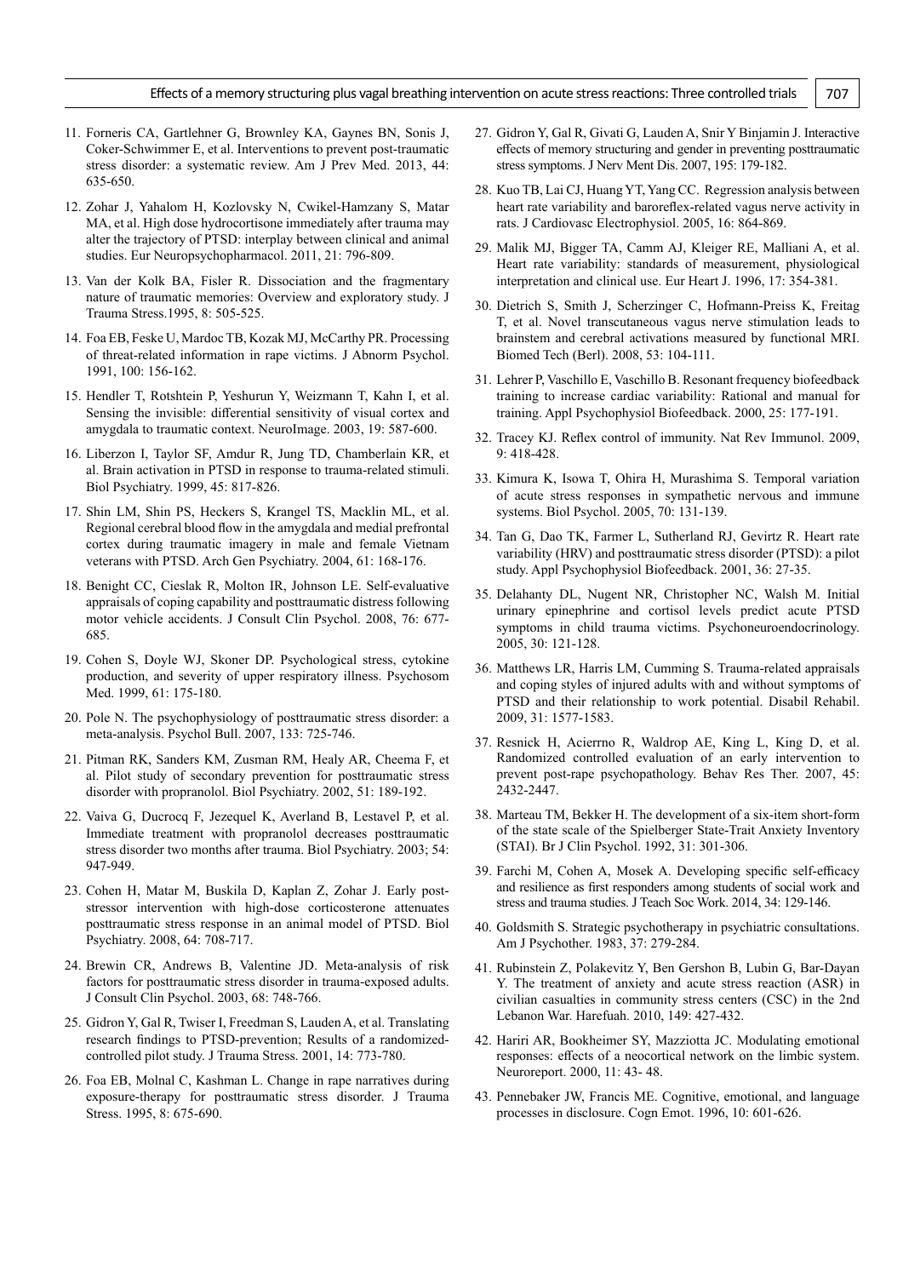- 11. Forneris CA, Gartlehner G, Brownley KA, Gaynes BN, Sonis J, Coker-Schwimmer E, et al. Interventions to prevent post-traumatic stress disorder: a systematic review. Am J Prev Med. 2013, 44: 635-650.
- 12. Zohar J, Yahalom H, Kozlovsky N, Cwikel-Hamzany S, Matar MA, et al. High dose hydrocortisone immediately after trauma may alter the trajectory of PTSD: interplay between clinical and animal studies. Eur Neuropsychopharmacol. 2011, 21: 796-809.
- 13. Van der Kolk BA, Fisler R. Dissociation and the fragmentary nature of traumatic memories: Overview and exploratory study. J Trauma Stress.1995, 8: 505-525.
- 14. Foa EB, Feske U, Mardoc TB, Kozak MJ, McCarthy PR. Processing of threat-related information in rape victims. J Abnorm Psychol. 1991, 100: 156-162.
- 15. Hendler T, Rotshtein P, Yeshurun Y, Weizmann T, Kahn I, et al. Sensing the invisible: differential sensitivity of visual cortex and amygdala to traumatic context. NeuroImage. 2003, 19: 587-600.
- 16. Liberzon I, Taylor SF, Amdur R, Jung TD, Chamberlain KR, et al. Brain activation in PTSD in response to trauma-related stimuli. Biol Psychiatry. 1999, 45: 817-826.
- 17. Shin LM, Shin PS, Heckers S, Krangel TS, Macklin ML, et al. Regional cerebral blood flow in the amygdala and medial prefrontal cortex during traumatic imagery in male and female Vietnam veterans with PTSD. Arch Gen Psychiatry. 2004, 61: 168-176.
- 18. Benight CC, Cieslak R, Molton IR, Johnson LE. Self-evaluative appraisals of coping capability and posttraumatic distress following motor vehicle accidents. J Consult Clin Psychol. 2008, 76: 677- 685.
- 19. Cohen S, Doyle WJ, Skoner DP. Psychological stress, cytokine production, and severity of upper respiratory illness. Psychosom Med. 1999, 61: 175-180.
- 20. Pole N. The psychophysiology of posttraumatic stress disorder: a meta-analysis. Psychol Bull. 2007, 133: 725-746.
- 21. Pitman RK, Sanders KM, Zusman RM, Healy AR, Cheema F, et al. Pilot study of secondary prevention for posttraumatic stress disorder with propranolol. Biol Psychiatry. 2002, 51: 189-192.
- 22. Vaiva G, Ducrocq F, Jezequel K, Averland B, Lestavel P, et al. Immediate treatment with propranolol decreases posttraumatic stress disorder two months after trauma. Biol Psychiatry. 2003; 54: 947-949.
- 23. Cohen H, Matar M, Buskila D, Kaplan Z, Zohar J. Early poststressor intervention with high-dose corticosterone attenuates posttraumatic stress response in an animal model of PTSD. Biol Psychiatry. 2008, 64: 708-717.
- 24. Brewin CR, Andrews B, Valentine JD. Meta-analysis of risk factors for posttraumatic stress disorder in trauma-exposed adults. J Consult Clin Psychol. 2003, 68: 748-766.
- 25. Gidron Y, Gal R, Twiser I, Freedman S, Lauden A, et al. Translating research findings to PTSD-prevention; Results of a randomizedcontrolled pilot study. J Trauma Stress. 2001, 14: 773-780.
- 26. Foa EB, Molnal C, Kashman L. Change in rape narratives during exposure-therapy for posttraumatic stress disorder. J Trauma Stress. 1995, 8: 675-690.
- 27. Gidron Y, Gal R, Givati G, Lauden A, Snir Y Binjamin J. Interactive effects of memory structuring and gender in preventing posttraumatic stress symptoms. J Nerv Ment Dis. 2007, 195: 179-182.
- 28. Kuo TB, Lai CJ, Huang YT, Yang CC. Regression analysis between heart rate variability and baroreflex-related vagus nerve activity in rats. J Cardiovasc Electrophysiol. 2005, 16: 864-869.
- 29. Malik MJ, Bigger TA, Camm AJ, Kleiger RE, Malliani A, et al. Heart rate variability: standards of measurement, physiological interpretation and clinical use. Eur Heart J. 1996, 17: 354-381.
- 30. Dietrich S, Smith J, Scherzinger C, Hofmann-Preiss K, Freitag T, et al. Novel transcutaneous vagus nerve stimulation leads to brainstem and cerebral activations measured by functional MRI. Biomed Tech (Berl). 2008, 53: 104-111.
- 31. Lehrer P, Vaschillo E, Vaschillo B. Resonant frequency biofeedback training to increase cardiac variability: Rational and manual for training. Appl Psychophysiol Biofeedback. 2000, 25: 177-191.
- 32. Tracey KJ. Reflex control of immunity. Nat Rev Immunol. 2009, 9: 418-428.
- 33. Kimura K, Isowa T, Ohira H, Murashima S. Temporal variation of acute stress responses in sympathetic nervous and immune systems. Biol Psychol. 2005, 70: 131-139.
- 34. Tan G, Dao TK, Farmer L, Sutherland RJ, Gevirtz R. Heart rate variability (HRV) and posttraumatic stress disorder (PTSD): a pilot study. Appl Psychophysiol Biofeedback. 2001, 36: 27-35.
- 35. Delahanty DL, Nugent NR, Christopher NC, Walsh M. Initial urinary epinephrine and cortisol levels predict acute PTSD symptoms in child trauma victims. Psychoneuroendocrinology. 2005, 30: 121-128.
- 36. Matthews LR, Harris LM, Cumming S. Trauma-related appraisals and coping styles of injured adults with and without symptoms of PTSD and their relationship to work potential. Disabil Rehabil. 2009, 31: 1577-1583.
- 37. Resnick H, Acierrno R, Waldrop AE, King L, King D, et al. Randomized controlled evaluation of an early intervention to prevent post-rape psychopathology. Behav Res Ther. 2007, 45: 2432-2447.
- 38. Marteau TM, Bekker H. The development of a six-item short-form of the state scale of the Spielberger State-Trait Anxiety Inventory (STAI). Br J Clin Psychol. 1992, 31: 301-306.
- 39. Farchi M, Cohen A, Mosek A. Developing specific self-efficacy and resilience as first responders among students of social work and stress and trauma studies. J Teach Soc Work. 2014, 34: 129-146.
- 40. Goldsmith S. Strategic psychotherapy in psychiatric consultations. Am J Psychother. 1983, 37: 279-284.
- 41. Rubinstein Z, Polakevitz Y, Ben Gershon B, Lubin G, Bar-Dayan Y. The treatment of anxiety and acute stress reaction (ASR) in civilian casualties in community stress centers (CSC) in the 2nd Lebanon War. Harefuah. 2010, 149: 427-432.
- 42. Hariri AR, Bookheimer SY, Mazziotta JC. Modulating emotional responses: effects of a neocortical network on the limbic system. Neuroreport. 2000, 11: 43- 48.
- 43. Pennebaker JW, Francis ME. Cognitive, emotional, and language processes in disclosure. Cogn Emot. 1996, 10: 601‐626.